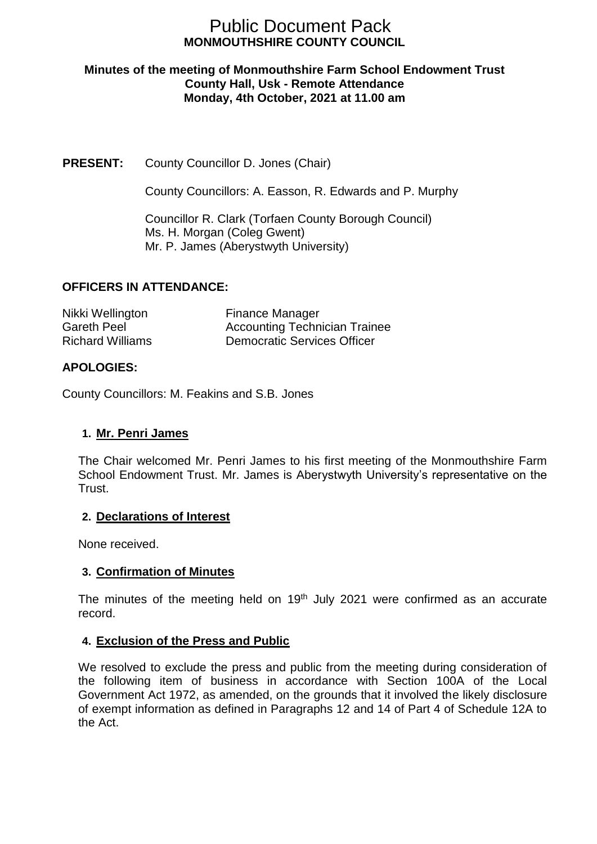# **MONMOUTHSHIRE COUNTY COUNCIL** Public Document Pack

#### **Minutes of the meeting of Monmouthshire Farm School Endowment Trust County Hall, Usk - Remote Attendance Monday, 4th October, 2021 at 11.00 am**

# **PRESENT:** County Councillor D. Jones (Chair)

County Councillors: A. Easson, R. Edwards and P. Murphy

Councillor R. Clark (Torfaen County Borough Council) Ms. H. Morgan (Coleg Gwent) Mr. P. James (Aberystwyth University)

## **OFFICERS IN ATTENDANCE:**

| Nikki Wellington        | <b>Finance Manager</b>               |
|-------------------------|--------------------------------------|
| Gareth Peel             | <b>Accounting Technician Trainee</b> |
| <b>Richard Williams</b> | <b>Democratic Services Officer</b>   |

# **APOLOGIES:**

County Councillors: M. Feakins and S.B. Jones

## **1. Mr. Penri James**

The Chair welcomed Mr. Penri James to his first meeting of the Monmouthshire Farm School Endowment Trust. Mr. James is Aberystwyth University's representative on the Trust.

## **2. Declarations of Interest**

None received.

## **3. Confirmation of Minutes**

The minutes of the meeting held on  $19<sup>th</sup>$  July 2021 were confirmed as an accurate record.

## **4. Exclusion of the Press and Public**

We resolved to exclude the press and public from the meeting during consideration of the following item of business in accordance with Section 100A of the Local Government Act 1972, as amended, on the grounds that it involved the likely disclosure of exempt information as defined in Paragraphs 12 and 14 of Part 4 of Schedule 12A to the Act.